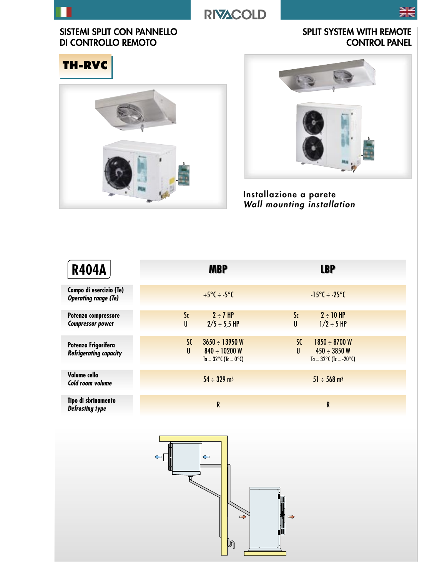# **RIVACOLD**



### SISTEMI SPLIT CON PANNELLO DI CONTROLLO REMOTO

SPLIT SYSTEM WITH REMOTE CONTROL PANEL







Installazione a parete Wall mounting installation

| <b>R404A</b>                                           | <b>MBP</b>                                                                             | <b>LBP</b>                                                                                       |
|--------------------------------------------------------|----------------------------------------------------------------------------------------|--------------------------------------------------------------------------------------------------|
| Campo di esercizio (Te)<br><b>Operating range (Te)</b> | $+5^{\circ}C \div -5^{\circ}C$                                                         | $-15^{\circ}C \div -25^{\circ}C$                                                                 |
| Potenza compressore<br><b>Compressor power</b>         | $2 \div 7$ HP<br>S <sub>c</sub><br>$\mathsf{U}$<br>$2/5 \div 5.5$ HP                   | $2 \div 10$ HP<br>S <sub>c</sub><br>$\mathsf{U}$<br>$1/2 \div 5$ HP                              |
| Potenza Frigorifera<br><b>Refrigerating capacity</b>   | SC<br>$3650 \div 13950$ W<br>U<br>$840 \div 10200$ W<br>Ta = $32^{\circ}$ C (Tc = 0°C) | $1850 \div 8700 W$<br>SC<br>U<br>$450 \div 3850 W$<br>$Ta = 32^{\circ}C$ (Tc = -20 $^{\circ}C$ ) |
| Volume cella<br>Cold room volume                       | $54 \div 329$ m <sup>3</sup>                                                           | $51 \div 568$ m <sup>3</sup>                                                                     |
| Tipo di sbrinamento<br><b>Defrosting type</b>          | $\mathsf R$                                                                            | ${\sf R}$                                                                                        |
|                                                        | $\leftarrow$<br>$\leftarrow$<br>$\Rightarrow$                                          | $\Rightarrow$                                                                                    |

 $\mathbb{D}$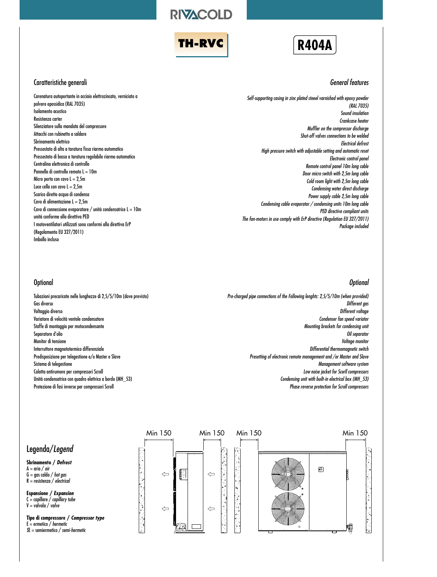**RIVACOLD** 





#### Caratteristiche generali

Carenatura autoportante in acciaio elettrozincato, verniciato a polvere epossidica (RAL 7035) Isolamento acustico Resistenza carter Silenziatore sulla mandata del compressore Attacchi con rubinetto a saldare Sbrinamento elettrico Pressostato di alta a taratura fissa riarmo automatico Pressostato di bassa a taratura regolabile riarmo automatico Centralina elettronica di controllo Pannello di controllo remoto L = 10m Micro porta con cavo  $L = 2.5$ m Luce cella con cavo  $L = 2.5m$ Scarico diretto acqua di condensa Cavo di alimentazione  $L = 2,5m$ Cavo di connessione evaporatore / unità condensatrice  $L = 10m$ unità conforme alla direttiva PED I motoventilatori utilizzati sono conformi alla direttiva ErP (Regolamento EU 327/2011) Imballo incluso

#### General features

Self-supporting casing in zinc plated steeel varnished with epoxy powder (RAL 7035) Sound insulation Crankcase heater Muffler on the compressor discharge Shut-off valves connections to be welded Electrical defrost High pressure switch with adjustable setting and automatic reset Electronic control panel Remote control panel 10m long cable Door micro switch with 2,5m long cable Cold room light with 2,5m long cable Condensing water direct discharge Power supply cable 2,5m long cable Condensing cable evaporator / condensing units 10m long cable PED directive compliant units The fan-motors in use comply with ErP directive (Regulation EU 327/2011) Package included

#### **Optional**

Tubazioni precaricate nelle lunghezze di 2,5/5/10m (dove previsto) Gas diverso Voltaggio diverso Variatore di velocità ventole condensatore Staffe di montaggio per motocondensante Separatore d'olio Monitor di tensione Interruttore magnetotermico differenziale Predisposizione per telegestione e/o Master e Slave Sistema di telegestione Calotta antirumore per compressori Scroll Unità condensatrice con quadro elettrico a bordo (MH\_53) Protezione di fasi inverse per compressori Scroll

#### **Optional**

Pre-charged pipe connections of the Following lenghts: 2,5/5/10m (when provided) Different gas Different voltage Condenser fan speed variator Mounting brackets for condensing unit Oil separator Voltage monitor Differential thermomagnetic switch Presetting of electronic remote management and /or Master and Slave Management software system Low noise jacket for Scorll compressors Condensing unit with built-in electrical box (MH\_53) Phase reverse protection for Scroll compressors



### Legenda/Legend

**Sbrinamento / Defrost**  $A = \ar{a} / \ar{a}$  $G = gas$  caldo / hot gas  $R =$  resistenza / electrical

**Espansione / Expansion**  $C =$  capillare / capillary tube  $V =$  valvola / valve

**Tipo di compressore / Compressor type**  $E =$  ermetico / hermetic SE = semiermetico / semi-hermetic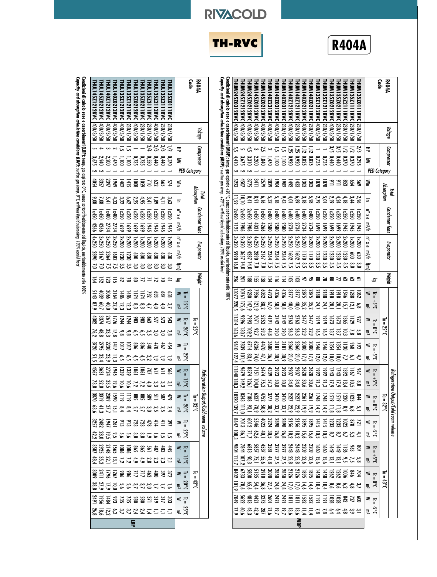| <b>R404A</b>                  | Code                |                                                   | THUMI 35Z1111RVC<br><b>THUM135Z0111RVC</b>        | THUMI 35Z2111RVC               | <b>THUM135Z0211RVC</b> | THUM135Z0212RVC                                | <b>THUM135Z121 RVC</b>            | THUM135Z1212RVC                   | <b>THUM140Z0211RVC</b>        | <b>THUM140Z0212RVC</b>  | <b>THUM140Z121 IRVC</b>                                    | THUM140Z1212RVC                       | <b>THUM140Z0311RVC</b>       | <b>THUM140Z0312RVC</b>  | THUM140Z2312RVC          | THUM145Z0212RVC       | THUM145Z0312RVC              | THUM245Z0212RVC                             | <b>THUM245Z1212RVC</b><br><b>THUM245Z0312RVC</b> | $\epsilon$ apacity and absorption calculation conditions (MBP): suction gas temp. +20°C, without liquid subcooling, 100% useful heat<br>Condizioni di calcolo rese e assorbimenti (MBP): temp, gos aspirato +20°C, senza sottoraffreddamento del liquido, surriscaldamento utile 100% |                                | <b>R404A</b>        | Code                      |                                                    | <b>THULI 35Z0111RVC</b> | <b>THULI 35 Z21 12RVC</b><br><b>THULI 35 Z2111 RVC</b> | <b>THULI 35 Z3111 RVC</b>                                | THULI 35 Z0211 RVC   | THULI 35 Z0212RVC                | THUL135Z1211RVC     | THULI 40Z0212RVC<br><b>THULI 35Z1212RVC</b>           | <b>THULI 40Z1212RVC</b> | THULI 45Z0212RVC<br><b>THULI 45Z1212RVC</b>        |
|-------------------------------|---------------------|---------------------------------------------------|---------------------------------------------------|--------------------------------|------------------------|------------------------------------------------|-----------------------------------|-----------------------------------|-------------------------------|-------------------------|------------------------------------------------------------|---------------------------------------|------------------------------|-------------------------|--------------------------|-----------------------|------------------------------|---------------------------------------------|--------------------------------------------------|---------------------------------------------------------------------------------------------------------------------------------------------------------------------------------------------------------------------------------------------------------------------------------------|--------------------------------|---------------------|---------------------------|----------------------------------------------------|-------------------------|--------------------------------------------------------|----------------------------------------------------------|----------------------|----------------------------------|---------------------|-------------------------------------------------------|-------------------------|----------------------------------------------------|
| Voltage                       |                     |                                                   | [230/1/50<br>0S/1/0EZ                             | 05/1/020                       | <b>230/1/20</b>        | 05/8/00#                                       | 05/1/020                          | 05/8/00t                          | 0S/1/0EZ                      | 05/8/00#                | 0S/1/0EZ                                                   | 05/8/00#                              | 05/1/0EZ                     | 05/8/00#                | 05/8/00#                 | 05/8/00t              | 95/2/30                      | 05/2/00 k                                   | 05/8/00#<br>05/2/00#                             |                                                                                                                                                                                                                                                                                       |                                | Voltage             |                           |                                                    | 0S/1/0EZ                | 0S/1/0EZ                                               | 05/8/00t<br>[230/1/50                                    | <b>230/1/50</b>      | 05/8/00#                         | 230/1/50            | 05/8/00#<br>05/8/00#                                  | $05/\text{E}/000$       | 05/2/00<br>05/8/00#                                |
| Compressor                    |                     | ₹<br>₹                                            | $\mathcal{Z}$<br>$\overline{z}$<br>0.370<br>0.295 | 0.370                          |                        | $5\,\%$<br>$\frac{0.440}{0.440}$               |                                   | 0,735<br>0,725<br>0,825           | $\overline{5}$                | $\frac{1}{10}$          | $\bar{z}$<br>$\begin{array}{c} 0.825 \\ 0.920 \end{array}$ | 52<br>25<br>0011<br>0260              | 급                            | 급<br>1,100              | N<br>0/t'1               | 2,5<br>1,840          | ىئ<br>12,200                 | 4,5<br>3,310                                | š,<br>S<br>3.675<br>4,410                        |                                                                                                                                                                                                                                                                                       |                                | Compressor          |                           | ₹<br>₹                                             | O,370                   | 35<br>S.<br>0.440                                      | 3/4<br>OSS'O<br>$0\nmid \psi$                            | 0.735                | 0.735                            | 는<br>$\overline{a}$ | 귻<br>0/t'1<br>001'1                                   | $\sim$ $\sim$<br>2,200  | $4 -$<br>$\frac{2,940}{3,675}$                     |
|                               | <b>PED Category</b> |                                                   |                                                   |                                |                        |                                                |                                   |                                   |                               |                         |                                                            |                                       |                              |                         |                          |                       |                              |                                             | Ζ                                                |                                                                                                                                                                                                                                                                                       |                                | <b>PED</b> Category |                           |                                                    |                         |                                                        |                                                          |                      |                                  |                     |                                                       |                         | Z                                                  |
| lotal                         | Absorption          | ≦                                                 | 54<br>š                                           |                                |                        | $\cong \cong \mathbb{S}$                       |                                   | ខ្លួន្ទ                           |                               |                         | lä 엺                                                       | 761                                   | $\overline{28}$              | 1804                    | 2029<br>2579             |                       | $\frac{3411}{2}$             | 3775                                        | 4507<br>5223                                     |                                                                                                                                                                                                                                                                                       |                                |                     |                           | ⋚                                                  | Σ4                      | ę5                                                     | $\frac{52}{710}$                                         | $\overline{59}$      | $\overline{5}$                   | 1412                | 70 <sub>1</sub>                                       | 1969                    | 3357<br>4054                                       |
|                               |                     | Ξ                                                 | $\frac{2}{3}$<br>$\frac{2}{4}$                    | 4,18                           | 4,24                   | 2,59                                           | ίŰ                                |                                   | 2, 2, 2<br>2, 28, 22,         |                         | 68'9                                                       | 4,01                                  | $9,43$<br>$5,18$             |                         | រ័ះ                      | ó, ló                 | 16 <sup>7</sup>              | $\frac{1}{8}$                               | $\frac{10}{10}$<br>$\overline{59}$               |                                                                                                                                                                                                                                                                                       |                                | Absorption<br>Joial |                           | Ξ                                                  | ្លិ៍                    | 4,11                                                   | 3,41<br>៍ខ                                               |                      | $4,95$<br>2, 25                  | 6,62                | $3,23$<br>4,23                                        | 5,41                    | 7,08<br>9,08                                       |
| Condenser fans                |                     | $0 \times 0$<br>a∕h                               | Ix350<br>N350<br>5t<br>1945                       | <b>1x350</b><br>1945           | <b>Ix350</b><br>6691   | <b>Ix350</b><br>6691                           | <b>Ix350</b><br>6691              | <b>1x350</b><br>6691              | $100 \times 1$<br>2734        | 00 <sup>k</sup><br>2734 | 00 <sup>k</sup><br>2734                                    | 00 <sup>k</sup><br><b>ZT34</b>        | 00 <sup>k</sup><br>2580      | 00 <sup>k</sup><br>2580 | 00 <sup>k</sup><br>2580  | $1\times 450$<br>426e | $1\times450$<br>4031         | 0Sty 72<br>906Z                             | 0st×z<br>05v 450<br>7125<br><b>1906</b>          |                                                                                                                                                                                                                                                                                       |                                | Condenser tans      |                           | ո∛հ                                                | 18350<br>ରି             | <b>Ix350</b><br><b>JAC</b>                             | <b>1x350</b><br><b>1x350</b><br>ĨЖ<br><b>Shil</b>        | <b>1x350</b><br>6691 | <b>1x350</b><br>$\overline{691}$ | 1x350<br>6691       | $100 \times 1$<br><b>1x350</b><br><b>Z734</b><br>5691 | 00 <sup>k</sup><br>2734 | $1\times 150$<br>$1\times 450$<br>4266<br>4266     |
| Evaporator                    |                     | $\mathbf{u}^{\circ}$ x $\mathbf{u}$<br>m°∕h<br>ਤੋ | $\overline{200}$<br>00<br>g<br>ន្ធ<br>រ័<br>័     | 00ZXZ<br><b>L20</b><br>ین<br>س | 00ZXZ<br>ឆ្ន           | 00ZXZ<br><b>1230</b><br>ພ ພ ພ<br>ທັນ ທີ        | 00ZXZ<br>ឆ្ន                      | <b>2x200</b><br>ន្ទ្រ<br>ین<br>تا | 00ZXZ<br>$\bar{z}$<br>ین<br>س | 00ZXZ<br>듾<br>ಀೢ        | <b>2x250</b><br>$\overline{3}$<br>ς,                       | 052XZ<br>$\overline{291}$<br>ζ,       | 3x250<br>2364<br>$\tilde{c}$ | 3x250<br>2364<br>۲J     | 3x250<br>2364<br>$\zeta$ | 3x250<br>2167<br>ัง   | 4x250<br>2890<br>$\tilde{c}$ | 2x350<br>4287<br>$\overline{14}0$           | 2x350<br>3x350<br>0665<br>3657<br>16,0<br>14,0   |                                                                                                                                                                                                                                                                                       |                                | Evaporator          |                           | $\mathbf{u}^{\circ} \times \mathbf{v}$<br>π^h<br>宣 | $\overline{200}$<br>ន្ធ | 00<br>ន្ទ<br>ిం<br>ప                                   | 00Z <sub>X</sub><br>00Z <sub>X</sub><br>630<br>ន្ទ<br>័ព | 007<br>ĝΩ<br>័ព      | $007\times1$<br>g                | 2x200<br>ಀೢಁ        | 2x250<br>00ZXZ<br>1230<br>1230<br>2364<br>ಀೢ<br>ړ.    | 3x250<br>ړ.             | 4x250<br>3x250<br>068Z<br><b>2167</b><br>ວັ<br>ัง  |
| Weight                        |                     | డ                                                 | జ ≃                                               |                                | $\approx$ $\approx$    | ຮ                                              | జ                                 |                                   | ង ឌ                           | 57                      | ឨ                                                          | ຮ                                     | $\overline{z}$               | $\equiv$                | 习                        | డ్జ                   | દ્ધ                          | ౙ                                           | 201<br>226                                       |                                                                                                                                                                                                                                                                                       |                                | <b>Weight</b>       |                           | డ్                                                 | ≥ ≈                     |                                                        | z <sub>z</sub>                                           | ₹                    | ౾                                | జ                   | 듡<br>28                                               | ន                       | ត្ត ភ                                              |
|                               |                     | ั∍า<br>$3.5+$                                     | $\overline{288}$<br>ន្ល<br>르<br>8'9               | $\overline{54}$                | $\frac{1}{8}$<br>15,7  | $\overline{3}$<br>20,1                         | 24,7                              | 21 88<br>28 75<br>28 75<br>24,7   |                               |                         | 2875                                                       | 3177                                  | ä                            | 430G                    | 4793                     | និ                    | 7936                         | 08Z6<br>147,9                               | 19201<br>17027<br>220,5<br>1756                  |                                                                                                                                                                                                                                                                                       |                                |                     |                           | ≤ ⊤ຸ                                               | នី និ                   |                                                        | 35                                                       | řП                   | řД                               | $\frac{1480}{150}$  | <b>2164</b><br>$\frac{148}{36}$                       | 90E                     | 5143<br>4039                                       |
|                               | 립                   | 킂.<br>≼<br>$\overline{n}$                         | $\overline{5}$<br>Ló                              | ក្ល                            | $\overline{5}$         | 1673                                           | 6161                              | 6161                              | 35,2<br>7477                  | 35,2<br>7477            | 60 <sup>th</sup><br>2763                                   | 4Q,0<br><b>Z763</b>                   | 9.8<br>3742                  | 58,8<br>3742            | 6/0<br>l6lt              | 88,2<br>5253          | 121,9<br>7071                | 7993                                        | 96Z6<br>11314                                    |                                                                                                                                                                                                                                                                                       |                                | 류                   | J <sub>o</sub><br>류       | 킋<br>≼                                             | ್ಷೆ<br>Σ£               | 445 325<br>15<br>្ឆ                                    | ξg                                                       | 88                   | 8g                               | $\overline{244}$    | $12.3$<br>$22.9$<br>21<br>1244                        | 40,0<br>2617            | 67<br>87,9<br>4382<br>3374                         |
|                               | <b>25°C</b><br>50   | ₹                                                 | $\tilde{ }$                                       | ್ಪ                             |                        | ្មដូ                                           | ξ'n                               |                                   | 16,5<br>22,9                  | 22,9                    | 26,3                                                       | 26,3                                  | ័័                           | 39,0                    | 44,8                     | మ్ర                   | 176                          | 7'601                                       | 130 <sup>7</sup><br>163,6                        |                                                                                                                                                                                                                                                                                       |                                | <b>25°C</b>         | 300<                      | ₹                                                  | 2, 2,<br>2, 0           |                                                        | ಀೢಁ<br>័                                                 | $5^{\circ}$          | ូរី                              | ទ័                  | ឌួក្នួឌ                                               |                         | 48,8<br>76,2                                       |
|                               | ገ<br>የር             | $\leq \frac{1}{2}$                                | 792                                               | 듫                              | 1354                   | $\overline{1354}$                              | 9tGl                              | 546                               | <b>2080</b>                   | <b>C802</b>             | 2360                                                       | 2360                                  | $rac{2}{3}$                  | <b>SIB</b>              | ä<br>36,1                | t470<br>47,           | 6236                         | 9/14                                        | 0196<br>62<br>E,                                 |                                                                                                                                                                                                                                                                                       |                                |                     | $\vec{r}$<br>$32^{\circ}$ | ≼                                                  | tž4                     | 467                                                    | 540<br>62                                                |                      |                                  |                     | 8 \$ 5 5 5 3 3                                        |                         | 2795<br>3720                                       |
|                               |                     | 킋                                                 |                                                   |                                |                        | 크로롱롱 <u>국</u> 학                                |                                   |                                   |                               |                         | $\frac{17}{21}$                                            | 21,0                                  | 30,9                         | 30,9                    |                          |                       | $\mathcal{M},0$              | 83,4                                        | li01,4                                           |                                                                                                                                                                                                                                                                                       |                                |                     |                           | 킋                                                  |                         | ₷<br><b>SEES</b>                                       | 2,2<br>್                                                 | 슧                    | 군                                | مَّ-<br>ت           |                                                       |                         | 6.11 22 31<br>いっぴょう<br>1061<br>2022<br>4522<br>452 |
| Refriger                      | ٦,                  | ั∍า<br>₹. ⊰                                       | $\overline{5}$<br>06                              | 1392                           |                        | 1119282829233334<br>2020228282                 |                                   |                                   |                               |                         |                                                            |                                       |                              |                         |                          |                       | Ξ                            | 6/96<br>8374                                | 11848                                            |                                                                                                                                                                                                                                                                                       | Refriger                       |                     | 능                         | ≍ ⊤ັ<br>ಕ್ತ ನೆ                                     |                         |                                                        |                                                          |                      |                                  |                     |                                                       |                         |                                                    |
| ation Output/Cold room volume | $I_0 = 32^{\circ}C$ | $\leq \frac{1}{2}$<br>₹                           | 용#4<br>1513                                       |                                |                        | ទីក្នុង<br>$282 - 28$                          | $\overline{24}$<br>$\frac{14}{2}$ | 1748<br>$\frac{14}{2}$            | <b>2261</b><br>$\tilde{e}$    |                         | $\frac{19.9}{22.9}$                                        | 2261<br>252<br>3410<br>22, 2<br>23, 7 |                              | 3410<br>ឌ               | 38'                      | 37.77<br>47.52        |                              | $7188$<br>$8343$<br><b>S 2 3 7 2</b>        | 0220                                             |                                                                                                                                                                                                                                                                                       | ration Output/Cold room volume | $I_0 = 32^{\circ}C$ | 30 <sub>o</sub>           | $\leq \frac{1}{2}$<br>킋                            | 9 Ş                     |                                                        | 兰                                                        |                      |                                  |                     |                                                       |                         |                                                    |
|                               |                     | ≅ ≋<br>ی<br>چ<br>∃                                |                                                   |                                |                        |                                                |                                   |                                   |                               |                         |                                                            |                                       |                              |                         |                          |                       |                              | 1825<br>2127288242555557<br>2011<br>2011    |                                                  |                                                                                                                                                                                                                                                                                       |                                |                     | 3.5                       | ั∍                                                 | $rac{36}{41}$           |                                                        |                                                          |                      |                                  |                     |                                                       |                         | <b>4 2 3 3 3 4 4 5 4 5 4 6 7 4 7 5</b>             |
|                               |                     | ≼⊤ุ                                               |                                                   |                                |                        | 2,7<br>1134<br>144866698448771<br>327222448777 | ູລ                                |                                   |                               |                         |                                                            |                                       |                              | <b>12121822222</b>      | <b>1950</b>              |                       |                              | <b>42558</b><br>1855<br>4555<br>8813<br>884 |                                                  |                                                                                                                                                                                                                                                                                       |                                |                     |                           | 킋<br>א<br>ני ≕ין                                   |                         | けいりゅうがいいいだい                                            |                                                          |                      |                                  |                     |                                                       |                         |                                                    |
|                               | $3.5^{+}$           | 킋                                                 | 롤플유용ង                                             |                                |                        |                                                | ηŚι                               |                                   | 15,6<br>22,6                  |                         | 25.8                                                       |                                       |                              | 22 32 4<br>3 3 3 4 3    |                          |                       |                              | 32532                                       | 등                                                |                                                                                                                                                                                                                                                                                       |                                |                     | J <sub>o51</sub>          | 킋                                                  |                         | 22229)                                                 |                                                          |                      |                                  |                     |                                                       |                         | 유ՀՀ는 12 IZ 33 18                                   |
|                               | 하<br>13°C           | $M = \frac{1}{2}$<br>50<br>킂,                     |                                                   | $\tilde{c}_2$                  |                        |                                                | 중동중웅                              |                                   |                               |                         | $\frac{14}{12,0}$                                          |                                       |                              |                         |                          |                       |                              | 12.27 27 37 37 38<br>29 37 37 37 38         | $\overline{5}$                                   |                                                                                                                                                                                                                                                                                       |                                | ਰ<br>ន្ទះ           | 3.02                      | ≤ ⊤ຸ<br>ಕ್ಷ                                        | 32                      |                                                        | ŝ                                                        |                      |                                  |                     |                                                       |                         | \$<br>\$25\$\$\$11\$<br>22528                      |
|                               |                     | ≤ ≍<br>ی<br>-<br>- 15                             | 검음                                                |                                |                        |                                                |                                   |                                   |                               |                         |                                                            |                                       |                              |                         |                          |                       |                              |                                             |                                                  |                                                                                                                                                                                                                                                                                       |                                |                     | 25°C                      | ≤ ⊤ີ                                               |                         |                                                        |                                                          |                      |                                  |                     |                                                       |                         |                                                    |
|                               |                     |                                                   |                                                   |                                |                        |                                                |                                   |                                   |                               |                         | <b>NBP</b>                                                 |                                       |                              |                         |                          |                       |                              |                                             |                                                  |                                                                                                                                                                                                                                                                                       |                                |                     |                           | 킋                                                  |                         |                                                        |                                                          |                      | 등                                |                     |                                                       |                         | <b>ーンスタミッピにほん</b>                                  |

**Condizioni di calcolo rese e assorbimenti (LBP):** temp, gas aspiatro O°C, senza sotnoaffreddamento del liquido, surticaldamento utile<br>**Capacity and absorption calculation conditions (LBP):** suction gas temp, O°C, without **Capacity and absorption calculation conditions (LBP): Condizioni di calcolo rese e assorbimenti (LBP):** temp. gas aspirato 0°C, senza sottoraffreddamento del liquido, surriscaldamento utile 100% suction gas temp. 0°C, without liquid subcooling, 100% useful heat  $100%$ 

**RIVACOLD**